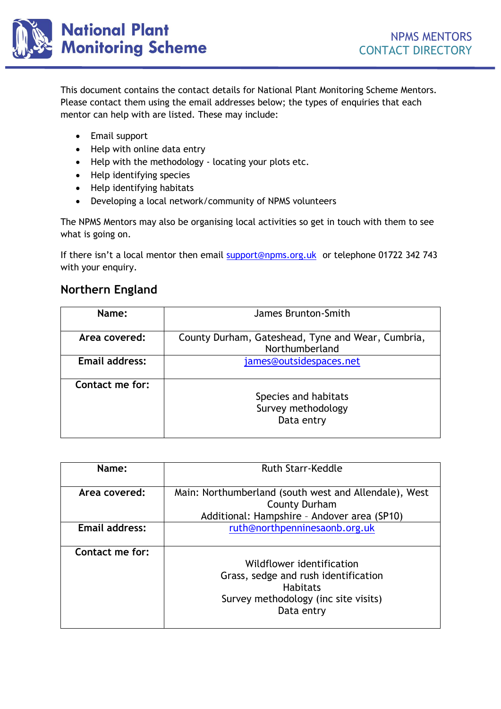

This document contains the contact details for National Plant Monitoring Scheme Mentors. Please contact them using the email addresses below; the types of enquiries that each mentor can help with are listed. These may include:

- Email support
- Help with online data entry
- Help with the methodology locating your plots etc.
- Help identifying species
- Help identifying habitats
- Developing a local network/community of NPMS volunteers

The NPMS Mentors may also be organising local activities so get in touch with them to see what is going on.

If there isn't a local mentor then email [support@npms.org.uk](mailto:support@npms.org.uk) or telephone 01722 342 743 with your enquiry.

#### **Northern England**

| Name:                 | James Brunton-Smith                                                 |
|-----------------------|---------------------------------------------------------------------|
| Area covered:         | County Durham, Gateshead, Tyne and Wear, Cumbria,<br>Northumberland |
| <b>Email address:</b> | james@outsidespaces.net                                             |
| Contact me for:       | Species and habitats<br>Survey methodology<br>Data entry            |

| Name:                 | <b>Ruth Starr-Keddle</b>                                                                                                                   |
|-----------------------|--------------------------------------------------------------------------------------------------------------------------------------------|
| Area covered:         | Main: Northumberland (south west and Allendale), West<br><b>County Durham</b><br>Additional: Hampshire - Andover area (SP10)               |
| <b>Email address:</b> | ruth@northpenninesaonb.org.uk                                                                                                              |
| Contact me for:       | Wildflower identification<br>Grass, sedge and rush identification<br><b>Habitats</b><br>Survey methodology (inc site visits)<br>Data entry |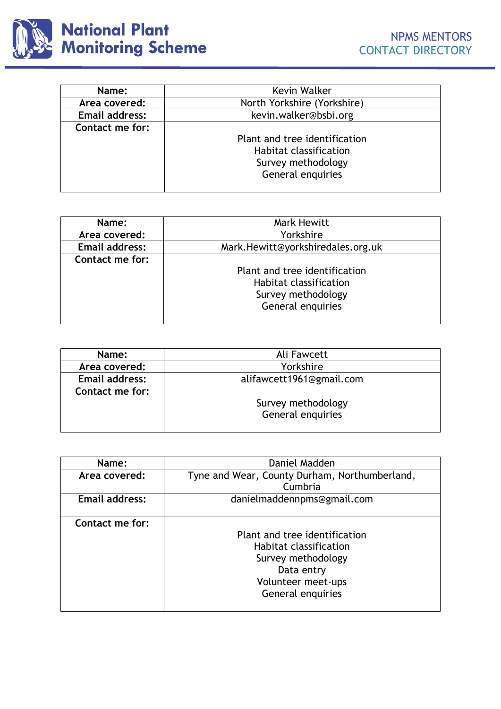

| Name:                 | Kevin Walker                  |
|-----------------------|-------------------------------|
| Area covered:         | North Yorkshire (Yorkshire)   |
| <b>Email address:</b> | kevin.walker@bsbi.org         |
| Contact me for:       |                               |
|                       | Plant and tree identification |
|                       | <b>Habitat classification</b> |
|                       | Survey methodology            |
|                       | General enquiries             |
|                       |                               |

| Name:                 | Mark Hewitt                       |
|-----------------------|-----------------------------------|
| Area covered:         | Yorkshire                         |
| <b>Email address:</b> | Mark.Hewitt@yorkshiredales.org.uk |
| Contact me for:       |                                   |
|                       | Plant and tree identification     |
|                       | <b>Habitat classification</b>     |
|                       | Survey methodology                |
|                       | General enquiries                 |
|                       |                                   |

| Name:                 | Ali Fawcett              |
|-----------------------|--------------------------|
| Area covered:         | Yorkshire                |
| <b>Email address:</b> | alifawcett1961@gmail.com |
| Contact me for:       | Survey methodology       |
|                       | General enquiries        |
|                       |                          |

| Name:           | Daniel Madden                                 |
|-----------------|-----------------------------------------------|
| Area covered:   | Tyne and Wear, County Durham, Northumberland, |
|                 | Cumbria                                       |
| Email address:  | danielmaddennpms@gmail.com                    |
|                 |                                               |
| Contact me for: |                                               |
|                 | Plant and tree identification                 |
|                 | Habitat classification                        |
|                 | Survey methodology                            |
|                 | Data entry                                    |
|                 | Volunteer meet-ups                            |
|                 | General enquiries                             |
|                 |                                               |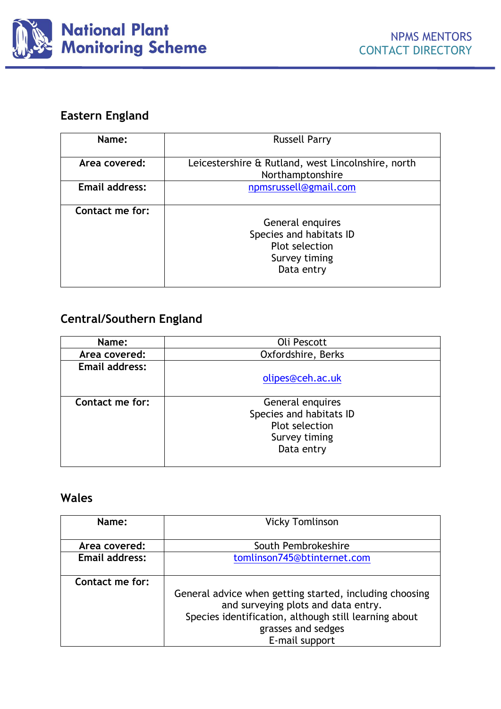

### **Eastern England**

| Name:           | <b>Russell Parry</b>                                                                         |
|-----------------|----------------------------------------------------------------------------------------------|
| Area covered:   | Leicestershire & Rutland, west Lincolnshire, north<br>Northamptonshire                       |
| Email address:  | npmsrussell@gmail.com                                                                        |
| Contact me for: | General enquires<br>Species and habitats ID<br>Plot selection<br>Survey timing<br>Data entry |

## **Central/Southern England**

| Name:                 | Oli Pescott                                                                    |
|-----------------------|--------------------------------------------------------------------------------|
| Area covered:         | Oxfordshire, Berks                                                             |
| <b>Email address:</b> |                                                                                |
|                       | olipes@ceh.ac.uk                                                               |
| Contact me for:       | General enquires<br>Species and habitats ID<br>Plot selection<br>Survey timing |
|                       | Data entry                                                                     |

# **Wales**

| Name:                 | <b>Vicky Tomlinson</b>                                  |
|-----------------------|---------------------------------------------------------|
|                       |                                                         |
| Area covered:         | South Pembrokeshire                                     |
| <b>Email address:</b> | tomlinson745@btinternet.com                             |
|                       |                                                         |
| Contact me for:       |                                                         |
|                       | General advice when getting started, including choosing |
|                       | and surveying plots and data entry.                     |
|                       | Species identification, although still learning about   |
|                       | grasses and sedges                                      |
|                       | E-mail support                                          |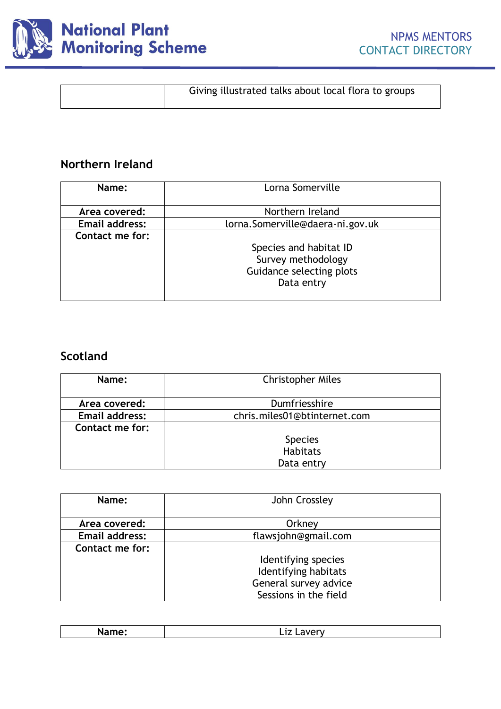

| Giving illustrated talks about local flora to groups |
|------------------------------------------------------|
|                                                      |

## **Northern Ireland**

| Name:                 | Lorna Somerville                 |
|-----------------------|----------------------------------|
|                       |                                  |
| Area covered:         | Northern Ireland                 |
| <b>Email address:</b> | lorna.Somerville@daera-ni.gov.uk |
| Contact me for:       |                                  |
|                       | Species and habitat ID           |
|                       | Survey methodology               |
|                       | Guidance selecting plots         |
|                       | Data entry                       |
|                       |                                  |

### **Scotland**

| Name:                 | <b>Christopher Miles</b>     |
|-----------------------|------------------------------|
|                       |                              |
| Area covered:         | Dumfriesshire                |
| <b>Email address:</b> | chris.miles01@btinternet.com |
| Contact me for:       |                              |
|                       | <b>Species</b>               |
|                       | <b>Habitats</b>              |
|                       | Data entry                   |

| Name:                 | John Crossley         |
|-----------------------|-----------------------|
| Area covered:         | Orkney                |
| <b>Email address:</b> | flawsjohn@gmail.com   |
| Contact me for:       |                       |
|                       | Identifying species   |
|                       | Identifying habitats  |
|                       | General survey advice |
|                       | Sessions in the field |

| --- |
|-----|
|     |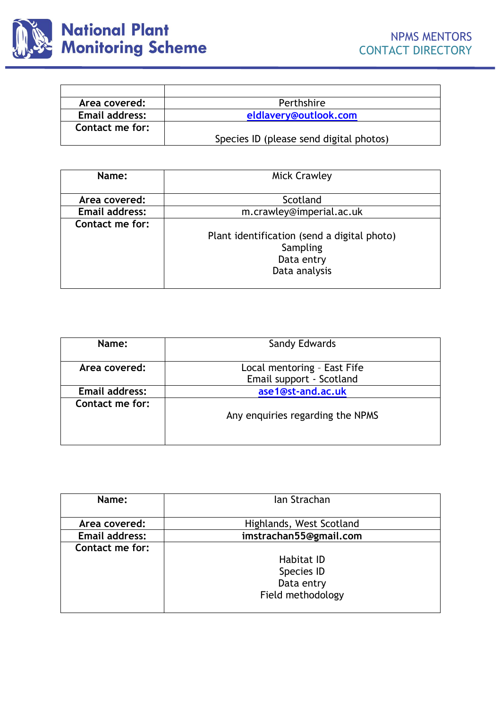

| Area covered:         | Perthshire                              |
|-----------------------|-----------------------------------------|
| <b>Email address:</b> | eldlavery@outlook.com                   |
| Contact me for:       |                                         |
|                       | Species ID (please send digital photos) |

| Name:                 | <b>Mick Crawley</b>                         |
|-----------------------|---------------------------------------------|
|                       |                                             |
| Area covered:         | Scotland                                    |
| <b>Email address:</b> | m.crawley@imperial.ac.uk                    |
| Contact me for:       |                                             |
|                       | Plant identification (send a digital photo) |
|                       | Sampling                                    |
|                       | Data entry                                  |
|                       | Data analysis                               |
|                       |                                             |

| Name:                 | Sandy Edwards                                           |
|-----------------------|---------------------------------------------------------|
| Area covered:         | Local mentoring - East Fife<br>Email support - Scotland |
| <b>Email address:</b> | ase1@st-and.ac.uk                                       |
| Contact me for:       | Any enquiries regarding the NPMS                        |

| Name:                 | Ian Strachan                                                       |  |
|-----------------------|--------------------------------------------------------------------|--|
| Area covered:         | Highlands, West Scotland                                           |  |
| <b>Email address:</b> | imstrachan55@gmail.com                                             |  |
| Contact me for:       | <b>Habitat ID</b><br>Species ID<br>Data entry<br>Field methodology |  |